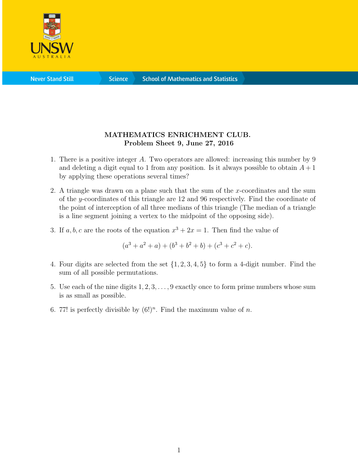

**Science** 

## MATHEMATICS ENRICHMENT CLUB. Problem Sheet 9, June 27, 2016

- 1. There is a positive integer A. Two operators are allowed: increasing this number by 9 and deleting a digit equal to 1 from any position. Is it always possible to obtain  $A + 1$ by applying these operations several times?
- 2. A triangle was drawn on a plane such that the sum of the x-coordinates and the sum of the y-coordinates of this triangle are 12 and 96 respectively. Find the coordinate of the point of interception of all three medians of this triangle (The median of a triangle is a line segment joining a vertex to the midpoint of the opposing side).
- 3. If a, b, c are the roots of the equation  $x^3 + 2x = 1$ . Then find the value of

$$
(a3 + a2 + a) + (b3 + b2 + b) + (c3 + c2 + c).
$$

- 4. Four digits are selected from the set {1, 2, 3, 4, 5} to form a 4-digit number. Find the sum of all possible permutations.
- 5. Use each of the nine digits 1, 2, 3, . . . , 9 exactly once to form prime numbers whose sum is as small as possible.
- 6. 77! is perfectly divisible by  $(6!)^n$ . Find the maximum value of n.